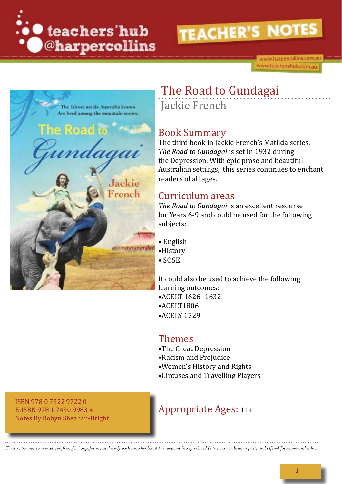

www.harpercollins.com.au www.teachershub.com.au



# The Road to Gundagai Jackie French

## Book Summary

The third book in Jackie French's Matilda series, *The Road to Gundagai* is set in 1932 during the Depression. With epic prose and beautiful Australian settings, this series continues to enchant readers of all ages.

## Curriculum areas

*The Road to Gundagai* is an excellent resourse for Years 6-9 and could be used for the following subjects:

- English
- •History
- SOSE

It could also be used to achieve the following learning outcomes: •ACELT 1626 -1632

- 
- •ACELT1806
- •ACELY 1729

# Themes

- •The Great Depression
- •Racism and Prejudice
- •Women's History and Rights
- •Circuses and Travelling Players

ISBN 978 0 7322 9722 0 E-ISBN 978 1 7430 9983 4 Notes By Robyn Sheahan-Bright

# Appropriate Ages: 11+

These notes may be reproduced free of charge for use and study withinn schools but the may not be reproduced (either in whole or in part) and offered for commecial sale...

**1**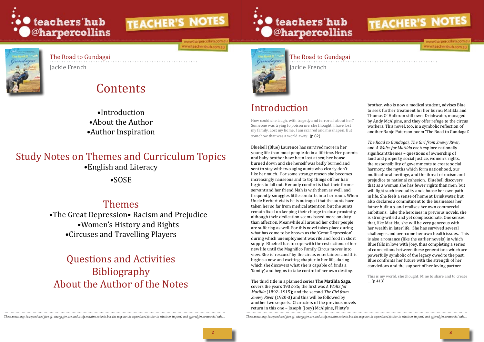

ww.harpercollins.com ww.teachershub.com.au



## The Road to Gundagai

Jackie French

How could she laugh, with tragedy and terror all about her? Someone was trying to poison me, she thought. I have lost my family. Lost my home. I am scarred and misshapen. But somehow that was a world away. (p 82)

The Road to Gundagai Jackie French

# Contents

•Introduction •About the Author •Author Inspiration

# Study Notes on Themes and Curriculum Topics •English and Literacy

•SOSE

# Themes

•The Great Depression• Racism and Prejudice •Women's History and Rights •Circuses and Travelling Players

# Questions and Activities Bibliography About the Author of the Notes







ww.harpercollins.cor www.teachershub.com.ac

# Introduction

Bluebell (Blue) Laurence has survived more in her young life than most people do in a lifetime. Her parents and baby brother have been lost at sea; her house burned down and she herself was badly burned and sent to stay with two aging aunts who clearly don't like her much. For some strange reason she becomes increasingly nauseous and to top things off her hair begins to fall out. Her only comfort is that their former servant and her friend Mah is with them as well, and frequently smuggles little comforts into her room. When Uncle Herbert visits he is outraged that the aunts have taken her so far from medical attention, but the aunts remain fixed on keeping their charge in close proximity, although their dedication seems based more on duty than affection. Meanwhile all around her other people are suffering as well. For this novel takes place during what has come to be known as the 'Great Depression' during which unemployment was rife and food in short supply. Bluebell has to cope with the restrictions of her new life until the Magnifico Family Circus moves into view. She is 'rescued' by the circus entertainers and this begins a new and exciting chapter in her life, during which she discovers what she is capable of, finds a 'family', and begins to take control of her own destiny.

The third title in a planned series **The Matilda Saga**, covers the years 1932-35; the first was *A Waltz for Matilda* (1892–1915); and the second *The Girl from Snowy River* (1920-3) and this will be followed by another two sequels. Characters of the previous novels return in this one – Joseph (Joey) McAlpine, Flinty's

These notes may be reproduced free of charge for use and study withinn schools but the may not be reproduced (either in whale or in part) and offered for commecial sale. These notes may be reproduced free of charge for use

brother, who is now a medical student, advises Blue to seek further treatment for her burns; Matilda and Thomas O' Halloran still own Drinkwater, managed by Andy McAlpine, and they offer refuge to the circus workers. This novel, too, is a symbolic reflection of another Banjo Paterson poem 'The Road to Gundagai'.

*The Road to Gundagai, The Girl from Snowy River,* and *A Waltz for Matilda* each explore nationally significant themes – questions of ownership of land and property, social justice, women's rights, the responsibility of governments to create social harmony, the myths which form nationhood, our multicultural heritage, and the threat of racism and prejudice to national cohesion. Bluebell discovers that as a woman she has fewer rights than men, but will fight such inequality and choose her own path in life. She feels a sense of home at Drinkwater, but also declares a commitment to the businesses her father built up, and realises her own commercial ambitions. Like the heroines in previous novels, she is strong-willed and yet compassionate. One senses that, like Matilda, she will be very generous with her wealth in later life. She has survived several challenges and overcome her own health issues. This is also a romance (like the earlier novels) in which Blue falls in love with Joey, thus completing a series of connections between these generations which are powerfully symbolic of the legacy owed to the past. Blue confronts her future with the strength of her convictions and the support of her loving partner.

This is my world, she thought. Mine to share and to create … (p 413)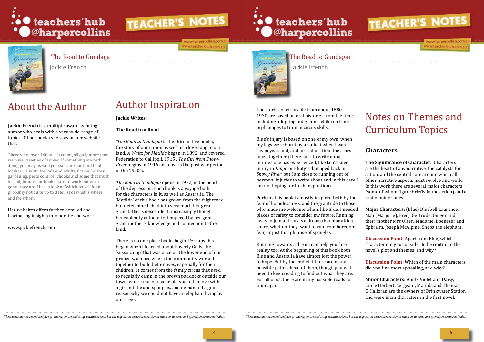

ww.harpercollins.com.a ww.teachershub.com.au

# ... teachers'hub **@harpercollins**



The stories of circus life from about 1880- 1930 are based on oral histories from the time, including adopting indigenous children from orphanages to train in circus skills.

Blue's injury is based on one of my own, when my legs were burnt by an alkali when I was seven years old, and for a short time the scars fused together. (It is easier to write about injuries one has experienced, like Loa's knee injury in *Dingo* or Flinty's damaged back in *Snowy River*, but I am close to running out of personal injuries to write about and in this case I am not hoping for fresh inspiration).

Running towards a dream can help you face reality too. At the beginning of this book both Blue and Australia have almost lost the power to hope. But by the end of it there are many possible paths ahead of them, though you will need to keep reading to find out what they are. For all of us, there are many possible roads to Gundagai.'

These notes may be reproduced free of charge for use and study withinn schools but the may not be reproduced (either in whale or in part) and offered for commecial sale.. These notes may be reproduced free of charge for us



www.harpercollins.com www.teachershub.com.au

Perhaps this book is mostly inspired both by the fear of homelessness, and the gratitude to those who made me welcome when, like Blue, I needed places of safety to consider my future. Running away to join a circus is a dream that many kids share, whether they want to run from boredom, fear, or just that glimpse of spangles. cast of minor ones. **Major Characters:** (Blue) Bluebell Laurence, Mah (Marjorie), Fred, Gertrude, Ginger and their mother Mrs Olsen, Madame, Ebenezer and Ephraim, Joseph McAlpine, Sheba the elephant.

# Notes on Themes and Curriculum Topics

## **Characters**

**The Significance of Character:** Characters are the heart of any narrative, the catalysts for action, and the central core around which all other narrative aspects must revolve and work. In this work there are several major characters (some of whom figure briefly in the action) and a

**Discussion Point:** Apart from Blue, which character did you consider to be central to the novel's plot and themes, and why?

**Discussion Point:** Which of the main characters did you find most appealing, and why?

**Minor Characters:** Aunts Violet and Daisy, Uncle Herbert, Sergeant, Matilda and Thomas O'Halloran are the owners of Drinkwater Station and were main characters in the first novel.

# About the Author

**Jackie French** is a multiple award-winning author who deals with a very wide-range of topics. Of her books she says on her website that:

There were over 140 at last count, slightly more than we have varieties of apples. If something is worth doing you may as well go heart and soul and boot leather ... I write for kids and adults, fiction, history, gardening, pests control , chooks and some that must be a nightmare for book shops to work out what genre they are. Have a look at 'which book?' for a probably not quite up to date list of what is where and for whom.

#### Her websites offers further detailed and fascinating insights into her life and work.

[www.jackiefrench.com](http://www.jackiefrench.com)

# Author Inspiration

#### **Jackie Writes:**

### **The Road to a Road**

*'The Road to Gundagai* is the third of five books, the story of our nation as well as a love song to our land. *A Waltz for Matilda* began in 1892, and covered Federation to Gallipoli, 1915 . *The Girl from Snowy River* begins in 1916 and covers the post war period of the 1920's.

*The Road to Gundagai* opens in 1932, in the heart of the depression. Each book is a voyage both for the characters in it, as well as Australia. The 'Matilda' of this book has grown from the frightened but determined child into very much her great grandfather's descendent, increasingly though benevolently autocratic, tempered by her great grandmother's knowledge and connection to the land.

There is no one place books begin. Perhaps this began when I learned about Poverty Gully, the 'susso camp' that was once on the lower end of our property, a place where the community worked together to build better lives, especially for their children. It comes from the family circus that used to regularly camp in the brown paddocks outside our town, where my four-year-old son fell in love with a girl in tulle and spangles, and demanded a good reason why we could not have an elephant living by our creek.



## The Road to Gundagai

Jackie French

The Road to Gundagai Jackie French

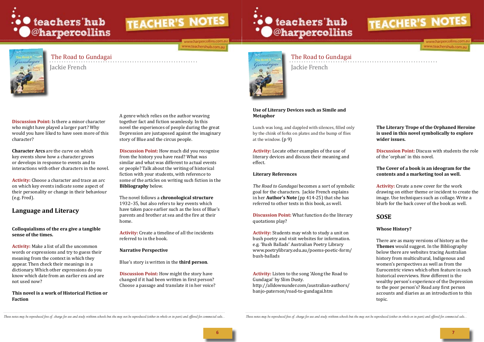

www.harpercollins.com.a www.teachershub.com.au



Cundagai

#### **Use of Literary Devices such as Simile and Metaphor**

Lunch was long, and dappled with silences, filled only by the chink of forks on plates and the bump of flies at the window. (p 9)

**Activity:** Locate other examples of the use of literary devices and discuss their meaning and effect.

#### **Literary References**

*The Road to Gundagai* becomes a sort of symbolic goal for the characters. Jackie French explains in her **Author's Note** (pp 414-25) that she has referred to other texts in this book, as well.

**Discussion Point:** What function do the literary quotations play?

**Activity:** Students may wish to study a unit on bush poetry and visit websites for information. e.g. 'Bush Ballads' Australian Poetry Library www.poetrylibrary.edu.au/poems-poetic-form/ bush-ballads

**Activity:** Listen to the song 'Along the Road to Gundagai' by Slim Dusty. http://alldownunder.com/australian-authors/ banjo-paterson/road-to-gundagai.htm

These notes may be reproduced free of charge for use and study withinn schools but the may not be reproduced (either in whole or in part) and offered for commecial sale... These notes may be reproduced free of charge for u



www.harpercollins.com.a www.teachershub.com.au

## The Road to Gundagai

Jackie French

 The Road to Gundagai Jackie French

**Discussion Point:** Is there a minor character who might have played a larger part? Why would you have liked to have seen more of this character?

**Character Arcs** are the curve on which key events show how a character grows or develops in response to events and to interactions with other characters in the novel.

**Activity:** Choose a character and trace an arc on which key events indicate some aspect of their personality or change in their behaviour (e.g. Fred).

## **Language and Literacy**

#### **Colloquialisms of the era give a tangible sense of the times.**

**Activity:** Make a list of all the uncommon words or expressions and try to guess their meaning from the context in which they appear. Then check their meanings in a dictionary. Which other expressions do you know which date from an earlier era and are not used now?

#### **This novel is a work of Historical Fiction or Faction**

A genre which relies on the author weaving together fact and fiction seamlessly. In this novel the experiences of people during the great Depression are juxtaposed against the imaginary story of Blue and the circus people.

**Discussion Point:** How much did you recognise from the history you have read? What was similar and what was different to actual events or people? Talk about the writing of historical fiction with your students, with reference to some of the articles on writing such fiction in the **Bibliography** below.

The novel follows a **chronological structure**  1932–35, but also refers to key events which have taken pace earlier such as the loss of Blue's parents and brother at sea and the fire at their home.

**Activity:** Create a timeline of all the incidents referred to in the book.

#### **Narrative Perspective**

Blue's story is written in the **third person**.

**Discussion Point:** How might the story have changed if it had been written in first person? Choose a passage and translate it in her voice?



### **The Literary Trope of the Orphaned Heroine is used in this novel symbolically to explore wider issues.**

**Discussion Point:** Discuss with students the role of the 'orphan' in this novel.

#### **The Cover of a book is an ideogram for the contents and a marketing tool as well.**

**Activity:** Create a new cover for the work drawing on either theme or incident to create the image. Use techniques such as collage. Write a blurb for the back cover of the book as well.

## **SOSE**

### **Whose History?**

There are as many versions of history as the **Themes** would suggest. In the Bibliography below there are websites tracing Australian history from multicultural, Indigenous and women's perspectives as well as from the Eurocentric views which often feature in such historical overviews. How different is the wealthy person's experience of the Depression to the poor person's? Read any first person accounts and diaries as an introduction to this topic.

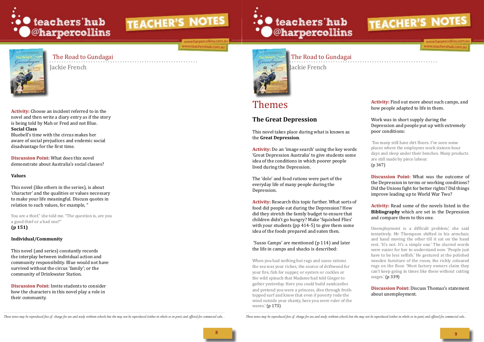

ww.harpercollins.com.au www.teachershub.com.au



**Activity:** Choose an incident referred to in the novel and then write a diary entry as if the story is being told by Mah or Fred and not Blue. **Social Class** 

You are a thief," she told me. "The question is, are you a good thief or a bad one?" **(p 151)**

Bluebell's time with the circus makes her aware of social prejudices and endemic social disadvantage for the first time.

**Discussion Point:** What does this novel demonstrate about Australia's social classes?

### **Values**

This novel (like others in the series), is about 'character' and the qualities or values necessary to make your life meaningful. Discuss quotes in relation to such values, for example, "

### **Individual/Community**

This novel (and series) constantly records the interplay between individual action and community responsibility. Blue would not have survived without the circus 'family'; or the community of Drinkwater Station.

**Discussion Point:** Invite students to consider how the characters in this novel play a role in their community.





## The Road to Gundagai

Jackie French

 The Road to Gundagai Jackie French

# Themes

# **The Great Depression**

This novel takes place during what is known as the **Great Depression**.

**Activity:** Do an 'image search' using the key words 'Great Depression Australia' to give students some idea of the conditions in which poorer people lived during the Depression.

The 'dole' and food rations were part of the everyday life of many people during the Depression.

**Activity:** Research this topic further. What sorts of food did people eat during the Depression? How did they stretch the family budget to ensure that children didn't go hungry? Make 'Squished Flies' with your students (pp 414-5) to give them some idea of the foods prepared and eaten then.

 'Susso Camps' are mentioned (p 114) and later the life in camps and shacks is described:

When you had nothing but rags and susso rations the sea was your riches, the source of driftwood for your fire, fish for supper, or oysters or cockles or the wild spinach that Madame had told Ginger to gather yesterday. Here you could build sandcastles and pretend you were a princess, dive through frothtopped surf and know that even if poverty rode the wind outside your shanty, here you were ruler of the waves.' (p 173)

These notes may be reproduced free of charge for use and study withinn schools but the may not be reproduced (either in whole or in part) and offered for commecial sale. These notes may be reproduced free of charge for use

**Activity:** Find out more about such camps, and how people adapted to life in them.

#### Work was in short supply during the Depression and people put up with extremely poor conditions:

 Too many still have dirt floors. I've seen some places where the employees work sixteen-hour days and sleep under their benches. Many products are still made by piece labour. (p 347)

**Discussion Point:** What was the outcome of the Depression in terms or working conditions? Did the Unions fight for better rights? Did things improve leading up to World War Two?

#### **Activity:** Read some of the novels listed in the **Bibliography** which are set in the Depression and compare them to this one.

Unemployment is a difficult problem,' she said tentatively. Mr Thompson shifted in his armchair, and hand moving the other till it sat on the hand rest. 'It's not. It's a simple one.' The slurred words were easier for her to understand now. 'People just have to be less selfish.' He gestured at the polished wooden furniture of the room, the richly coloured rugs on the floor. 'Most factory owners claim they can't keep going in times like these without cutting wages.' (p 339)

#### **Discussion Point:** Discuss Thomas's statement about unemployment.



www.harpercollins.com.a www.teachershub.com.au

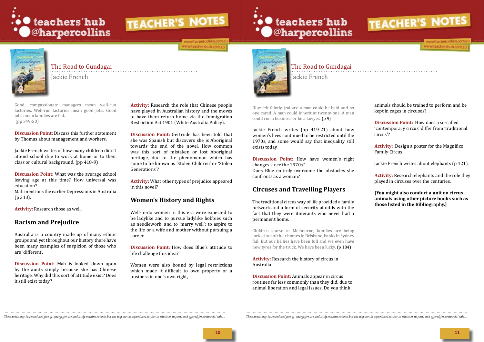

www.harpercollins.com.a www.teachershub.com.au





# The Road to Gundagai

Jackie French

 The Road to Gundagai Jackie French

Good, compassionate managers mean well-run factories. Well-run factories mean good jobs. Good jobs mean families are fed. (pp 349-50)

**Discussion Point:** Discuss this further statement by Thomas about management and workers.

Jackie French writes of how many children didn't attend school due to work at home or to their class or cultural background. (pp 418-9)

**Discussion Point:** What was the average school leaving age at this time? How universal was education?

Mah mentions the earlier Depressions in Australia (p 313).

**Activity:** Research those as well.

### **Racism and Prejudice**

Australia is a country made up of many ethnic groups and yet throughout our history there have been many examples of suspicion of those who are 'different'.

Blue felt faintly jealous: a man could be bald and no one cared. A man could inherit at twenty-one. A man could run a business or be a lawyer.'  $(p 9)$ 

**Discussion Point:** Mah is looked down upon by the aunts simply because she has Chinese heritage. Why did this sort of attitude exist? Does it still exist today?

**Activity:** Research the role that Chinese people have played in Australian history and the moves to have them return home via the Immigration Restriction Act 1901 (White Australia Policy).

**Discussion Point:** Gertrude has been told that she was Spanish but discovers she is Aboriginal towards the end of the novel. How common was this sort of mistaken or lost Aboriginal heritage, due to the phenomenon which has come to be known as 'Stolen Children' or 'Stolen Generations'?

**Activity:** What other types of prejudice appeared in this novel?

## **Women's History and Rights**

Well-to-do women in this era were expected to be ladylike and to pursue ladylike hobbies such as needlework, and to 'marry well'; to aspire to the life or a wife and mother without pursuing a career.

**Discussion Point:** How does Blue's attitude to life challenge this idea?

Women were also bound by legal restrictions which made it difficult to own property or a business in one's own right,



Jackie French writes (pp 419-21) about how women's lives continued to be restricted until the 1970s, and some would say that inequality still exists today.

**Discussion Point:** How have women's right changes since the 1970s?

Does Blue entirely overcome the obstacles she confronts as a woman?

## **Circuses and Travelling Players**

The traditional circus way of life provided a family network and a form of security at odds with the fact that they were itinerants who never had a permanent home.

Children starve in Melbourne, families are being locked out of their homes in Brisbane, banks in Sydney fail. But our bellies have been full and we even have new tyres for the truck. We have been lucky. (p 184)

#### **Activity:** Research the history of circus in Australia.

**Discussion Point:** Animals appear in circus routines far less commonly than they did, due to animal liberation and legal issues. Do you think

These notes may be reproduced free of charge for use and study withinn schools but the may not be reproduced (either in whole or in part) and offered for commecial sale. These notes may be reproduced free of charge for use

animals should be trained to perform and be kept in cages in circuses?

**Discussion Point:** How does a so-called 'contemporary circus' differ from 'traditional circus'?

**Activity:** Design a poster for the Magnifico Family Circus.

Jackie French writes about elephants (p 421).

**Activity:** Research elephants and the role they played in circuses over the centuries.

**[You might also conduct a unit on circus animals using other picture books such as those listed in the Bibliography.]**

**10 11**



www.harpercollins.com.a

www.teachershub.com.au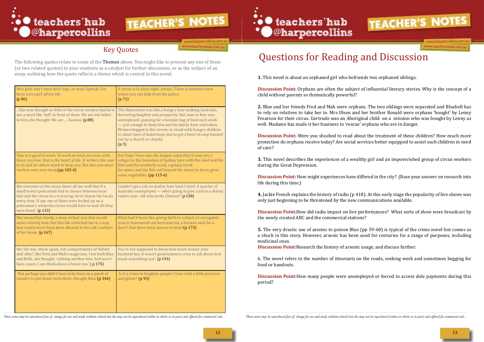

ww.harpercollins.com.a ww.teachershub.com.au

| Nice girls don't wave their hips, or wear lipstick. I've<br>been a nice girl all my life.<br>(p 86)                                                                                                                                                                                                                   | A circus is in plain sight, always. There is nowhere here<br>where you can hide from the police.<br>(p 71)                                                                                                                                                                                                                                                                                                                       |
|-----------------------------------------------------------------------------------------------------------------------------------------------------------------------------------------------------------------------------------------------------------------------------------------------------------------------|----------------------------------------------------------------------------------------------------------------------------------------------------------------------------------------------------------------------------------------------------------------------------------------------------------------------------------------------------------------------------------------------------------------------------------|
| this man thought so little of the circus women that he'd<br>use a word like 'hell' in front of them. We are not ladies<br>to him, she thought. We are  hussies. (p 88)                                                                                                                                                | The Depression was like a hungry bear stalking Australia,<br>devouring laughter and prosperity. One man in four was<br>unemployed, queuing for a hessian bag of food each week<br>- just enough to keep him and his family from starvation.<br>Women begged in the streets or stood with hungry children<br>in silent lines of faded hope just to get a bowl of soup handed<br>out by a church or charity.'<br>(p <sub>3</sub> ) |
| 'Also it is good to work. To work at what you love, with<br>those you love, that is the heart of life. It withers the soul<br>to sit and let others work to keep you. But also you must<br>work to earn your keep.(pp 103-4)                                                                                          | But Hope Town was the largest camp they'd seen yet, a<br>refuge for the homeless of Sydney here with the sand and the<br>flies and the southerly wind, a greasy creek<br>for water and the thin soil beyond the dunes to try to grow<br>some vegetables. (pp 115-6)                                                                                                                                                              |
| But everyone at the circus knew all too well that if a<br>small town's policeman had to choose between local<br>lads and the circus in a real scrap, he'd choose the locals<br>every time. If any one of them were locked up on a<br>policeman's whim the circus would have to wait till they<br>were freed.' (p 133) | Couldn't get a job no matter how hard I tried. A quarter of<br>Australia unemployed — who's going to give a job to a skinny<br>twelve year- old who looks Chinese? (p 158)                                                                                                                                                                                                                                                       |
| She missed her family, a deep etched scar that would<br>never entirely heal. But this life stretched her in a way<br>that would never have been allowed in the safe confines<br>of her home. (p 167)                                                                                                                  | What had it been like, giving birth in a shack of corrugated<br>iron or hammered-out kerosene tin, a hessian sack for a<br>door? Had there been anyone to help?(p 173)                                                                                                                                                                                                                                                           |
| Her life was whole again, not compartments of 'before'<br>and 'after', like Fred and Mah's magicians. I am both Blue<br>and Belle, she thought, rubbing another bite. And now I<br>have a past, I can think about a future too.' (p 175)                                                                              | You're not supposed to know how much money your<br>husband has. It wasn't good manners even to ask about how<br>much something cost.' (p 193)                                                                                                                                                                                                                                                                                    |
| 'But perhaps you didn't have to be born on a patch of<br>country to put down roots there, thought Blue.'(p 344)                                                                                                                                                                                                       | Is it a crime to brighten people's lives with a little pretence<br>and glitter? (p 93)                                                                                                                                                                                                                                                                                                                                           |

**CO** teachers' hub<br>
Coharpercollins

**Discussion Point:** Were you shocked to read about the treatment of these children? How much more protection do orphans receive today? Are social services better equipped to assist such children in need of care?

# Questions for Reading and Discussion

**1.** This novel is about an orphaned girl who befriends two orphaned siblings.

**Discussion Point:** Orphans are often the subject of influential literary stories. Why is the concept of a child without parents so thematically powerful?

**2.** Blue and her friends Fred and Mah were orphans. The two siblings were separated and Bluebell has to rely on relatives to take her in. Mrs Olsen and her brother Ronald were orphans 'bought' by Lenny Frearson for their circus. Gertrude was an Aboriginal child on a mission who was bought by Lenny as well. Madame has made it her business to 'rescue' orphans who are in danger.

**3.** This novel describes the experiences of a wealthy girl and an impoverished group of circus workers during the Great Depression.

**Discussion Point:** How might experiences have differed in the city? (Base your answer on research into life during this time.)

**4.** Jackie French explains the history of radio (p 418). At this early stage the popularity of live shows was only just beginning to be threatened by the new communications available.

**Discussion Point:**How did radio impact on live performances? What sorts of show were broadcast by the newly created ABC and the commercial stations?

**5.** The very drastic use of arsenic to poison Blue (pp 59-60) is typical of the crime novel but comes as a shock in this story. However, arsenic has been used for centuries for a range of purposes, including medicinal ones.

**Discussion Point:**Research the history of arsenic usage, and discuss further.

6. The novel refers to the number of itinerants on the roads, seeking work and sometimes begging for food or handouts.

**Discussion Point:**How many people were unemployed or forced to access dole payments during this period?

These notes may be reproduced free of charge for use and study withinn schools but the may not be reproduced (either in whole or in part) and offered for commecial sale.. These notes may be reproduced free of charge for us



# Key Quotes

The following quotes relate to some of the Themes above. You might like to present any one of them (or two related quotes) to your students as a catalyst for further discussion, or as the subject of an essay outlining how the quote reflects a theme which is central to this novel: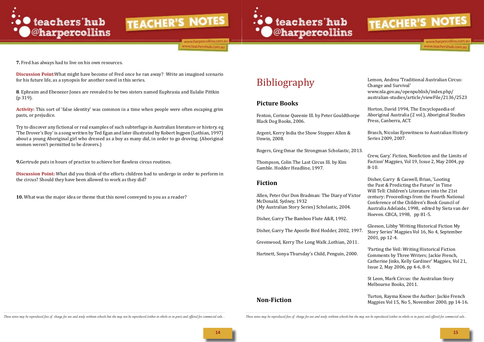

www.harpercollins.com.a www.teachershub.com.au



# Bibliography

## **Picture Books**

Fenton, Corinne Queenie Ill. by Peter Gouldthorpe Black Dog Books, 2006.

Argent, Kerry India the Show Stopper Allen & Unwin, 2008.

Rogers, Greg Omar the Strongman Scholastic, 2013.

Thompson, Colin The Last Circus Ill. by Kim Gamble. Hodder Headline, 1997.

## **Fiction**

Allen, Peter Our Don Bradman: The Diary of Victor McDonald, Sydney, 1932 (My Australian Story Series) Scholastic, 2004.

Disher, Garry The Bamboo Flute A&R, 1992.

Greenwood, Kerry The Long Walk ,Lothian, 2011.

Hartnett, Sonya Thursday's Child, Penguin, 2000.

### **Non-Fiction**

These notes may be reproduced free of charge for use and study withinn schools but the may not be reproduced (either in whole or in part) and offered for commecial sale.. These notes may be reproduced free of charge for us



**7.** Fred has always had to live on his own resources.

**Discussion Point:**What might have become of Fred once he ran away? Write an imagined scenario for his future life, as a synopsis for another novel in this series.

**8**. Ephraim and Ebenezer Jones are revealed to be two sisters named Euphrasia and Eulalie Pittkin (p 319).

**Activity:** This sort of 'false identity' was common in a time when people were often escaping grim pasts, or prejudice.

Try to discover any fictional or real examples of such subterfuge in Australian literature or history. eg 'The Drover's Boy' is a song written by Ted Egan and later illustrated by Robert Ingpen (Lothian, 1997) about a young Aboriginal girl who dressed as a boy as many did, in order to go droving. (Aboriginal women weren't permitted to be drovers.)

**9.**Gertrude puts in hours of practice to achieve her flawless circus routines.

Disher, Garry The Apostle Bird Hodder, 2002, 1997. Gleeson, Libby 'Writing Historical Fiction My Story Series' Magpies Vol 16, No 4, September 2001, pp 12-4.

**Discussion Point:** What did you think of the efforts children had to undergo in order to perform in the circus? Should they have been allowed to work as they did?

**10.** What was the major idea or theme that this novel conveyed to you as a reader?

Lemon, Andrea 'Traditional Australian Circus: Change and Survival' [www.nla.gov.au/openpublish/index.php/](http://wwwnla.gov.au/openpublish/index.php/australian-studies/article/viewFile/2136/2523) [australian-studies/article/viewFile/2136/2523](http://wwwnla.gov.au/openpublish/index.php/australian-studies/article/viewFile/2136/2523)

Horton, David 1994, The Encyclopaedia of Aboriginal Australia (2 vol.), Aboriginal Studies Press, Canberra, ACT.

Brasch, Nicolas Eyewitness to Australian History Series 2009, 2007.

Crew, Gary.' Fiction, Nonfiction and the Limits of Faction' Magpies, Vol 19, Issue 2, May 2004, pp 8-10.

Disher, Garry & Caswell, Brian, 'Looting the Past & Predicting the Future' in Time Will Tell: Children's Literature into the 21st century: Proceedings from the Fourth National Conference of the Children's Book Council of Australia Adelaide, 1998, edited by Sieta van der Hoeven. CBCA, 1998, pp 81-5.

'Parting the Veil: Writing Historical Fiction Comments by Three Writers; Jackie French, Catherine Jinks, Kelly Gardiner' Magpies, Vol 21, Issue 2, May 2006, pp 4-6, 8-9.

St Leon, Mark Circus: the Australian Story Melbourne Books, 2011.

Turton, Rayma Know the Author: Jackie French Magpies Vol 15, No 5, November 2000, pp 14-16.